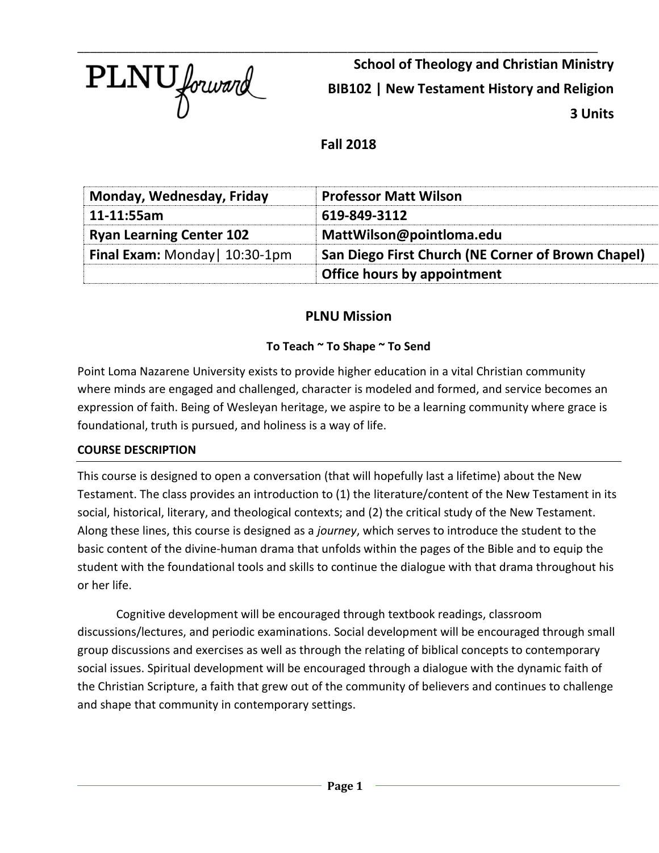

**School of Theology and Christian Ministry BIB102 | New Testament History and Religion 3 Units**

**Fall 2018**

| Monday, Wednesday, Friday       | <b>Professor Matt Wilson</b>                       |
|---------------------------------|----------------------------------------------------|
| 11-11:55am                      | 619-849-3112                                       |
| <b>Ryan Learning Center 102</b> | MattWilson@pointloma.edu                           |
| Final Exam: Monday   10:30-1pm  | San Diego First Church (NE Corner of Brown Chapel) |
|                                 | Office hours by appointment                        |

# **PLNU Mission**

# **To Teach ~ To Shape ~ To Send**

Point Loma Nazarene University exists to provide higher education in a vital Christian community where minds are engaged and challenged, character is modeled and formed, and service becomes an expression of faith. Being of Wesleyan heritage, we aspire to be a learning community where grace is foundational, truth is pursued, and holiness is a way of life.

# **COURSE DESCRIPTION**

This course is designed to open a conversation (that will hopefully last a lifetime) about the New Testament. The class provides an introduction to (1) the literature/content of the New Testament in its social, historical, literary, and theological contexts; and (2) the critical study of the New Testament. Along these lines, this course is designed as a *journey*, which serves to introduce the student to the basic content of the divine-human drama that unfolds within the pages of the Bible and to equip the student with the foundational tools and skills to continue the dialogue with that drama throughout his or her life.

Cognitive development will be encouraged through textbook readings, classroom discussions/lectures, and periodic examinations. Social development will be encouraged through small group discussions and exercises as well as through the relating of biblical concepts to contemporary social issues. Spiritual development will be encouraged through a dialogue with the dynamic faith of the Christian Scripture, a faith that grew out of the community of believers and continues to challenge and shape that community in contemporary settings.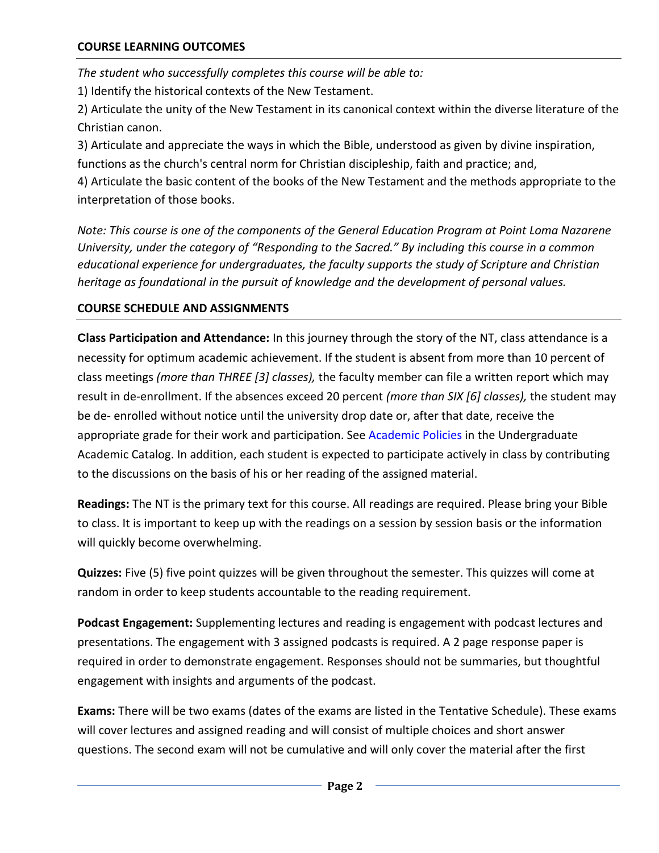*The student who successfully completes this course will be able to:*

1) Identify the historical contexts of the New Testament.

2) Articulate the unity of the New Testament in its canonical context within the diverse literature of the Christian canon.

3) Articulate and appreciate the ways in which the Bible, understood as given by divine inspiration, functions as the church's central norm for Christian discipleship, faith and practice; and,

4) Articulate the basic content of the books of the New Testament and the methods appropriate to the interpretation of those books.

*Note: This course is one of the components of the General Education Program at Point Loma Nazarene University, under the category of "Responding to the Sacred." By including this course in a common educational experience for undergraduates, the faculty supports the study of Scripture and Christian heritage as foundational in the pursuit of knowledge and the development of personal values.* 

# **COURSE SCHEDULE AND ASSIGNMENTS**

**Class Participation and Attendance:** In this journey through the story of the NT, class attendance is a necessity for optimum academic achievement. If the student is absent from more than 10 percent of class meetings *(more than THREE [3] classes),* the faculty member can file a written report which may result in de-enrollment. If the absences exceed 20 percent *(more than SIX [6] classes),* the student may be de- enrolled without notice until the university drop date or, after that date, receive the appropriate grade for their work and participation. See Academic Policies in the Undergraduate Academic Catalog. In addition, each student is expected to participate actively in class by contributing to the discussions on the basis of his or her reading of the assigned material.

**Readings:** The NT is the primary text for this course. All readings are required. Please bring your Bible to class. It is important to keep up with the readings on a session by session basis or the information will quickly become overwhelming.

**Quizzes:** Five (5) five point quizzes will be given throughout the semester. This quizzes will come at random in order to keep students accountable to the reading requirement.

**Podcast Engagement:** Supplementing lectures and reading is engagement with podcast lectures and presentations. The engagement with 3 assigned podcasts is required. A 2 page response paper is required in order to demonstrate engagement. Responses should not be summaries, but thoughtful engagement with insights and arguments of the podcast.

**Exams:** There will be two exams (dates of the exams are listed in the Tentative Schedule). These exams will cover lectures and assigned reading and will consist of multiple choices and short answer questions. The second exam will not be cumulative and will only cover the material after the first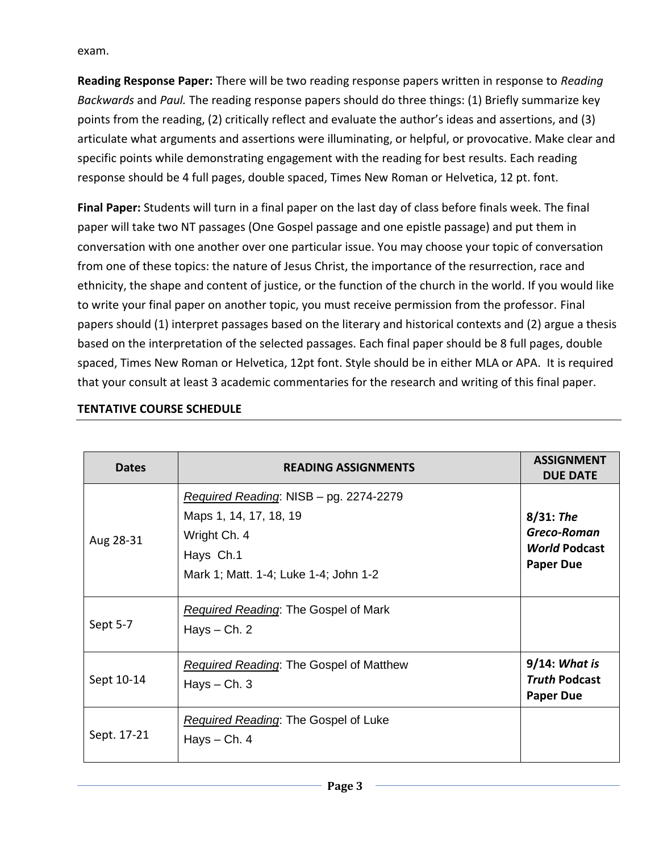exam.

**Reading Response Paper:** There will be two reading response papers written in response to *Reading Backwards* and *Paul.* The reading response papers should do three things: (1) Briefly summarize key points from the reading, (2) critically reflect and evaluate the author's ideas and assertions, and (3) articulate what arguments and assertions were illuminating, or helpful, or provocative. Make clear and specific points while demonstrating engagement with the reading for best results. Each reading response should be 4 full pages, double spaced, Times New Roman or Helvetica, 12 pt. font.

**Final Paper:** Students will turn in a final paper on the last day of class before finals week. The final paper will take two NT passages (One Gospel passage and one epistle passage) and put them in conversation with one another over one particular issue. You may choose your topic of conversation from one of these topics: the nature of Jesus Christ, the importance of the resurrection, race and ethnicity, the shape and content of justice, or the function of the church in the world. If you would like to write your final paper on another topic, you must receive permission from the professor. Final papers should (1) interpret passages based on the literary and historical contexts and (2) argue a thesis based on the interpretation of the selected passages. Each final paper should be 8 full pages, double spaced, Times New Roman or Helvetica, 12pt font. Style should be in either MLA or APA. It is required that your consult at least 3 academic commentaries for the research and writing of this final paper.

| <b>Dates</b> | <b>READING ASSIGNMENTS</b>                                                                                                             | <b>ASSIGNMENT</b><br><b>DUE DATE</b>                                    |
|--------------|----------------------------------------------------------------------------------------------------------------------------------------|-------------------------------------------------------------------------|
| Aug 28-31    | Required Reading: NISB - pg. 2274-2279<br>Maps 1, 14, 17, 18, 19<br>Wright Ch. 4<br>Hays Ch.1<br>Mark 1; Matt. 1-4; Luke 1-4; John 1-2 | $8/31$ : The<br>Greco-Roman<br><b>World Podcast</b><br><b>Paper Due</b> |
| Sept 5-7     | <b>Required Reading: The Gospel of Mark</b><br>Hays $-$ Ch. 2                                                                          |                                                                         |
| Sept 10-14   | <b>Required Reading: The Gospel of Matthew</b><br>Hays $-$ Ch. 3                                                                       | $9/14$ : What is<br><b>Truth Podcast</b><br><b>Paper Due</b>            |
| Sept. 17-21  | <b>Required Reading: The Gospel of Luke</b><br>Hays $-$ Ch. 4                                                                          |                                                                         |

# **TENTATIVE COURSE SCHEDULE**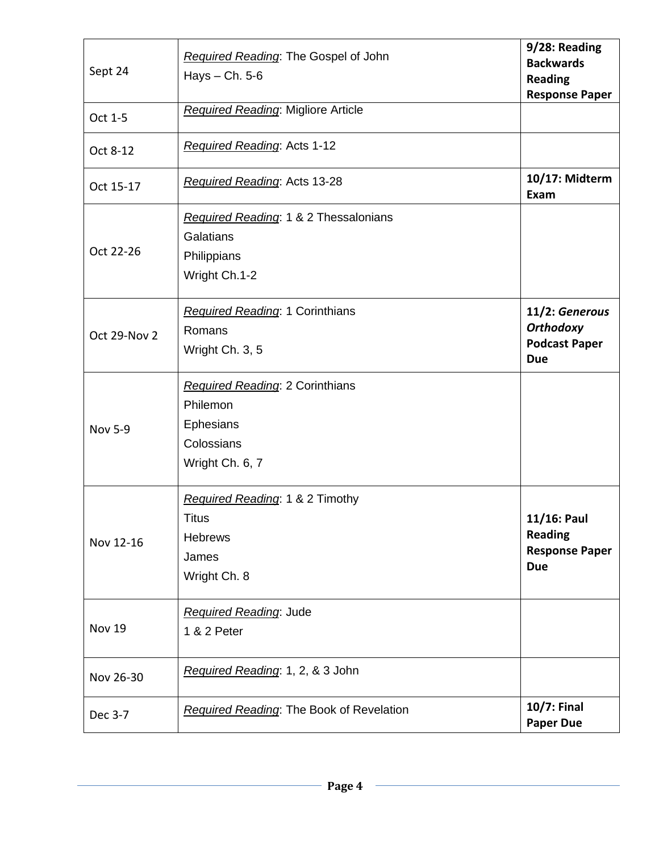| Sept 24        | Required Reading: The Gospel of John<br>Hays $-$ Ch. 5-6                                         | 9/28: Reading<br><b>Backwards</b><br><b>Reading</b><br><b>Response Paper</b> |
|----------------|--------------------------------------------------------------------------------------------------|------------------------------------------------------------------------------|
| Oct 1-5        | Required Reading: Migliore Article                                                               |                                                                              |
| Oct 8-12       | Required Reading: Acts 1-12                                                                      |                                                                              |
| Oct 15-17      | Required Reading: Acts 13-28                                                                     | 10/17: Midterm<br>Exam                                                       |
| Oct 22-26      | Required Reading: 1 & 2 Thessalonians<br>Galatians<br>Philippians<br>Wright Ch.1-2               |                                                                              |
| Oct 29-Nov 2   | <b>Required Reading: 1 Corinthians</b><br>Romans<br>Wright Ch. 3, 5                              | 11/2: Generous<br><b>Orthodoxy</b><br><b>Podcast Paper</b><br><b>Due</b>     |
| <b>Nov 5-9</b> | <b>Required Reading: 2 Corinthians</b><br>Philemon<br>Ephesians<br>Colossians<br>Wright Ch. 6, 7 |                                                                              |
| Nov 12-16      | Required Reading: 1 & 2 Timothy<br><b>Titus</b><br><b>Hebrews</b><br>James<br>Wright Ch. 8       | 11/16: Paul<br><b>Reading</b><br><b>Response Paper</b><br><b>Due</b>         |
| Nov 19         | <b>Required Reading: Jude</b><br>1 & 2 Peter                                                     |                                                                              |
| Nov 26-30      | Required Reading: 1, 2, & 3 John                                                                 |                                                                              |
| Dec 3-7        | Required Reading: The Book of Revelation                                                         | <b>10/7: Final</b><br><b>Paper Due</b>                                       |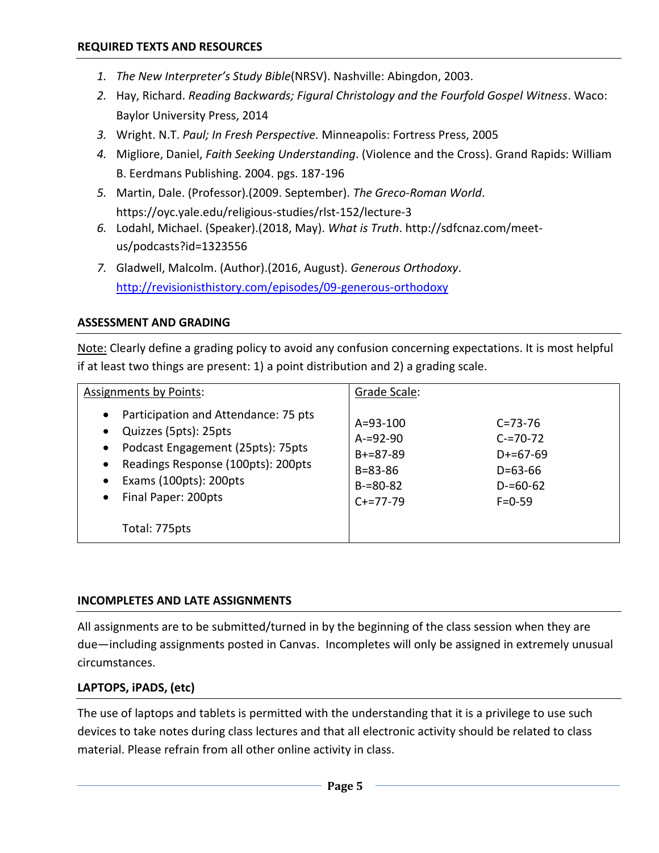- *1. The New Interpreter's Study Bible*(NRSV). Nashville: Abingdon, 2003.
- *2.* Hay, Richard. *Reading Backwards; Figural Christology and the Fourfold Gospel Witness*. Waco: Baylor University Press, 2014
- *3.* Wright. N.T. *Paul; In Fresh Perspective.* Minneapolis: Fortress Press, 2005
- *4.* Migliore, Daniel, *Faith Seeking Understanding*. (Violence and the Cross). Grand Rapids: William B. Eerdmans Publishing. 2004. pgs. 187-196
- *5.* Martin, Dale. (Professor).(2009. September). *The Greco-Roman World*. https://oyc.yale.edu/religious-studies/rlst-152/lecture-3
- *6.* Lodahl, Michael. (Speaker).(2018, May). *What is Truth*. http://sdfcnaz.com/meetus/podcasts?id=1323556
- *7.* Gladwell, Malcolm. (Author).(2016, August). *Generous Orthodoxy*. <http://revisionisthistory.com/episodes/09-generous-orthodoxy>

## **ASSESSMENT AND GRADING**

Note: Clearly define a grading policy to avoid any confusion concerning expectations. It is most helpful if at least two things are present: 1) a point distribution and 2) a grading scale.

| <b>Assignments by Points:</b>                                                                                                                                                                                                                                                            | Grade Scale:                                                                                  |                                                                                                |
|------------------------------------------------------------------------------------------------------------------------------------------------------------------------------------------------------------------------------------------------------------------------------------------|-----------------------------------------------------------------------------------------------|------------------------------------------------------------------------------------------------|
| Participation and Attendance: 75 pts<br>$\bullet$<br>Quizzes (5pts): 25pts<br>$\bullet$<br>Podcast Engagement (25pts): 75pts<br>$\bullet$<br>Readings Response (100pts): 200pts<br>$\bullet$<br>Exams (100pts): 200pts<br>$\bullet$<br>Final Paper: 200pts<br>$\bullet$<br>Total: 775pts | $A = 93 - 100$<br>$A = 92 - 90$<br>$B+=87-89$<br>$B = 83 - 86$<br>$B = 80 - 82$<br>$C+=77-79$ | $C = 73 - 76$<br>$C = 70 - 72$<br>$D+=67-69$<br>$D = 63 - 66$<br>$D = 60 - 62$<br>$F = 0 - 59$ |

#### **INCOMPLETES AND LATE ASSIGNMENTS**

All assignments are to be submitted/turned in by the beginning of the class session when they are due—including assignments posted in Canvas. Incompletes will only be assigned in extremely unusual circumstances.

## **LAPTOPS, iPADS, (etc)**

The use of laptops and tablets is permitted with the understanding that it is a privilege to use such devices to take notes during class lectures and that all electronic activity should be related to class material. Please refrain from all other online activity in class.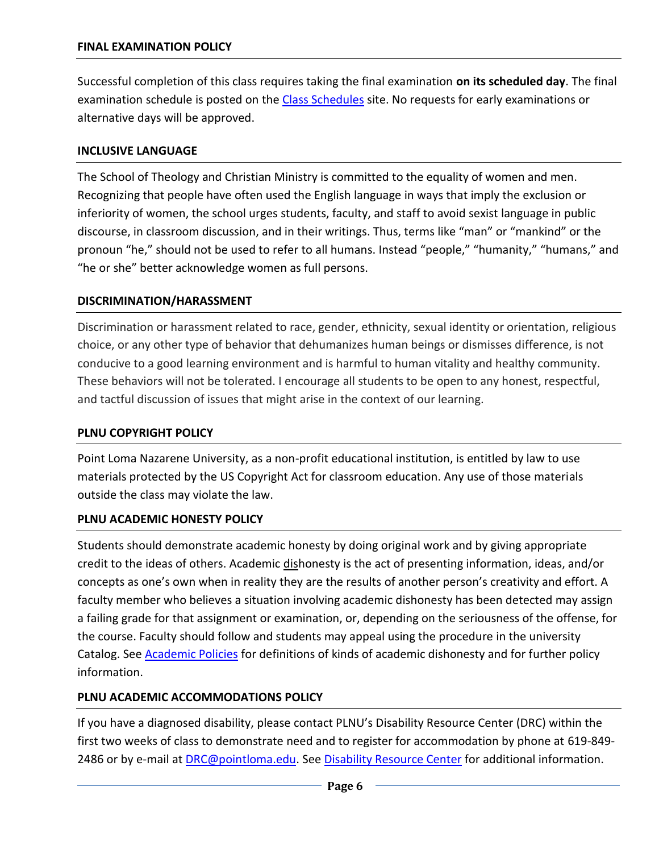Successful completion of this class requires taking the final examination **on its scheduled day**. The final examination schedule is posted on the [Class Schedules](http://www.pointloma.edu/experience/academics/class-schedules) site. No requests for early examinations or alternative days will be approved.

#### **INCLUSIVE LANGUAGE**

The School of Theology and Christian Ministry is committed to the equality of women and men. Recognizing that people have often used the English language in ways that imply the exclusion or inferiority of women, the school urges students, faculty, and staff to avoid sexist language in public discourse, in classroom discussion, and in their writings. Thus, terms like "man" or "mankind" or the pronoun "he," should not be used to refer to all humans. Instead "people," "humanity," "humans," and "he or she" better acknowledge women as full persons.

#### **DISCRIMINATION/HARASSMENT**

Discrimination or harassment related to race, gender, ethnicity, sexual identity or orientation, religious choice, or any other type of behavior that dehumanizes human beings or dismisses difference, is not conducive to a good learning environment and is harmful to human vitality and healthy community. These behaviors will not be tolerated. I encourage all students to be open to any honest, respectful, and tactful discussion of issues that might arise in the context of our learning.

## **PLNU COPYRIGHT POLICY**

Point Loma Nazarene University, as a non-profit educational institution, is entitled by law to use materials protected by the US Copyright Act for classroom education. Any use of those materials outside the class may violate the law.

## **PLNU ACADEMIC HONESTY POLICY**

Students should demonstrate academic honesty by doing original work and by giving appropriate credit to the ideas of others. Academic dishonesty is the act of presenting information, ideas, and/or concepts as one's own when in reality they are the results of another person's creativity and effort. A faculty member who believes a situation involving academic dishonesty has been detected may assign a failing grade for that assignment or examination, or, depending on the seriousness of the offense, for the course. Faculty should follow and students may appeal using the procedure in the university Catalog. See **Academic Policies** for definitions of kinds of academic dishonesty and for further policy information.

## **PLNU ACADEMIC ACCOMMODATIONS POLICY**

If you have a diagnosed disability, please contact PLNU's Disability Resource Center (DRC) within the first two weeks of class to demonstrate need and to register for accommodation by phone at 619-849- 2486 or by e-mail at [DRC@pointloma.edu.](mailto:DRC@pointloma.edu) See [Disability Resource Center](http://www.pointloma.edu/experience/offices/administrative-offices/academic-advising-office/disability-resource-center) for additional information.